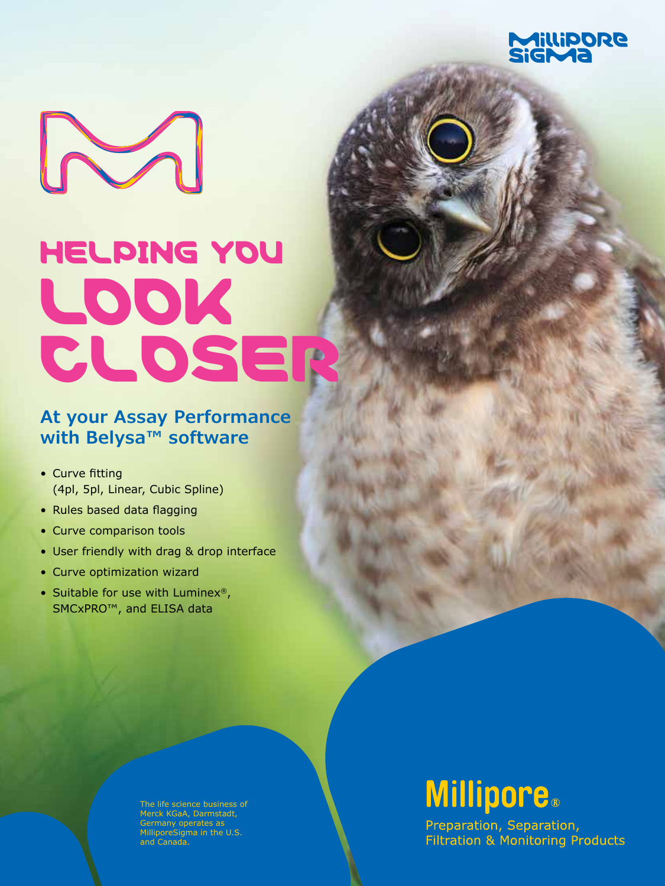

# $\sim$ HELPING YOU LOOK CLOSER

#### **At your Assay Performance with Belysa™ software**

- Curve fitting (4pl, 5pl, Linear, Cubic Spline)
- Rules based data flagging
- Curve comparison tools
- User friendly with drag & drop interface
- Curve optimization wizard
- Suitable for use with Luminex®, SMCxPRO™, and ELISA data

The life science business of Merck KGaA, Darmstadt, Germany operates as MilliporeSigma in the U.S. and Canada.

### **Millipore.**

Preparation, Separation, **Filtration & Monitoring Products**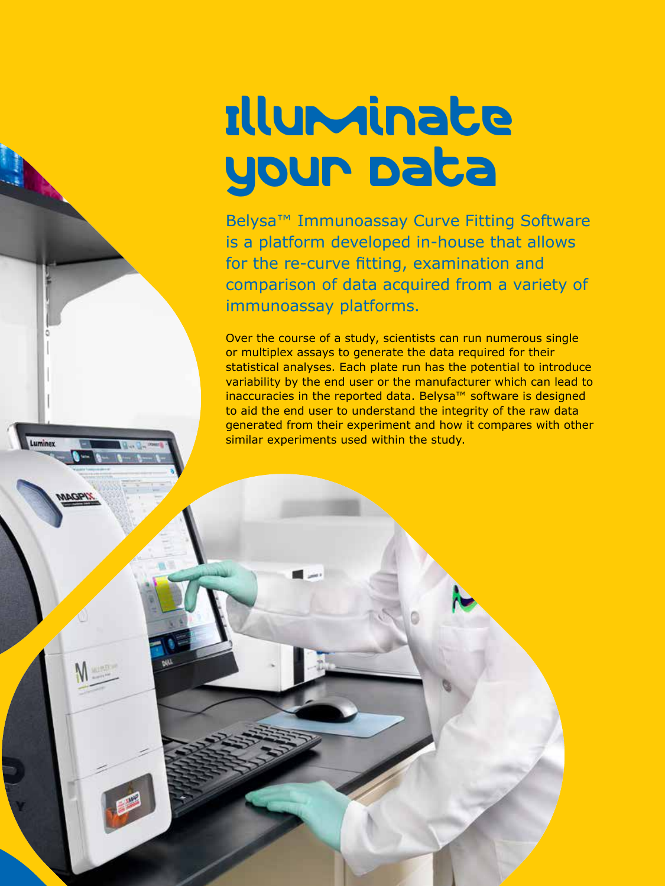## Illuminate your Data

Belysa™ Immunoassay Curve Fitting Software is a platform developed in-house that allows for the re-curve fitting, examination and comparison of data acquired from a variety of immunoassay platforms.

Over the course of a study, scientists can run numerous single or multiplex assays to generate the data required for their statistical analyses. Each plate run has the potential to introduce variability by the end user or the manufacturer which can lead to inaccuracies in the reported data. Belysa™ software is designed to aid the end user to understand the integrity of the raw data generated from their experiment and how it compares with other similar experiments used within the study.

Luminex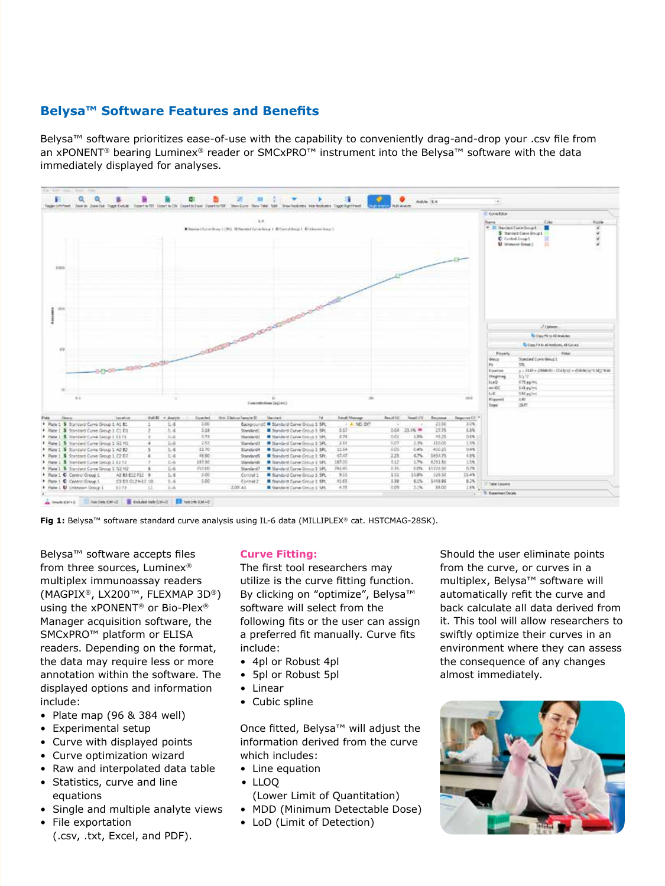#### **Belysa™ Software Features and Benefits**

Belysa™ software prioritizes ease-of-use with the capability to conveniently drag-and-drop your .csv file from an xPONENT<sup>®</sup> bearing Luminex® reader or SMCxPRO™ instrument into the Belysa™ software with the data immediately displayed for analyses.



**Fig 1:** Belysa™ software standard curve analysis using IL-6 data (MILLIPLEX® cat. HSTCMAG-28SK).

Belysa™ software accepts files from three sources, Luminex® multiplex immunoassay readers (MAGPIX®, LX200™, FLEXMAP 3D®) using the xPONENT® or Bio-Plex® Manager acquisition software, the SMCxPRO™ platform or ELISA readers. Depending on the format, the data may require less or more annotation within the software. The displayed options and information include:

- Plate map  $(96 \& 384$  well)
- Experimental setup
- Curve with displayed points
- Curve optimization wizard
- Raw and interpolated data table
- Statistics, curve and line equations
- Single and multiple analyte views
- File exportation (.csv, .txt, Excel, and PDF).

#### **Curve Fitting:**

The first tool researchers may utilize is the curve fitting function. By clicking on "optimize", Belysa™ software will select from the following fits or the user can assign a preferred fit manually. Curve fits include:

- 4pl or Robust 4pl
- 5pl or Robust 5pl
- Linear
- Cubic spline

Once fitted, Belysa™ will adjust the information derived from the curve which includes:

- Line equation
- LLOQ

(Lower Limit of Quantitation) • MDD (Minimum Detectable Dose)

• LoD (Limit of Detection)

Should the user eliminate points from the curve, or curves in a multiplex, Belysa™ software will automatically refit the curve and back calculate all data derived from it. This tool will allow researchers to swiftly optimize their curves in an environment where they can assess the consequence of any changes almost immediately.

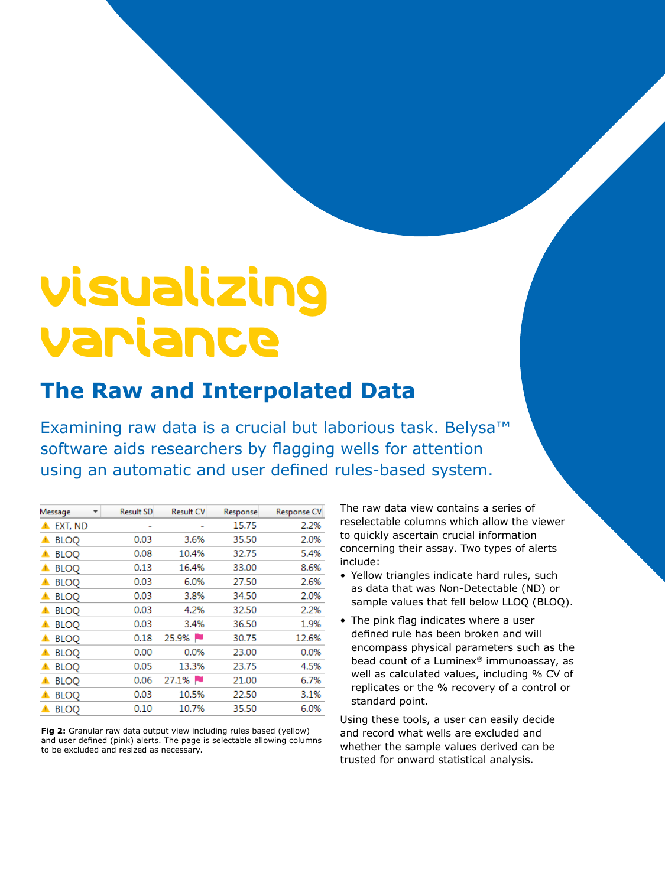### Visualizing Variance

#### **The Raw and Interpolated Data**

Examining raw data is a crucial but laborious task. Belysa™ software aids researchers by flagging wells for attention using an automatic and user defined rules-based system.

| Message          | <b>Result SD</b> | <b>Result CV</b> | Response | Response CV |
|------------------|------------------|------------------|----------|-------------|
| EXT, ND<br>▲     |                  |                  | 15.75    | 2.2%        |
| <b>BLOQ</b><br>▲ | 0.03             | 3.6%             | 35.50    | 2.0%        |
| <b>BLOQ</b><br>▲ | 0.08             | 10.4%            | 32.75    | 5.4%        |
| <b>BLOQ</b><br>▲ | 0.13             | 16.4%            | 33.00    | 8.6%        |
| <b>BLOQ</b><br>▲ | 0.03             | 6.0%             | 27.50    | 2.6%        |
| <b>BLOQ</b><br>▲ | 0.03             | 3.8%             | 34.50    | 2.0%        |
| <b>BLOQ</b><br>▲ | 0.03             | 4.2%             | 32.50    | 2.2%        |
| <b>BLOO</b><br>▲ | 0.03             | 3.4%             | 36.50    | 1.9%        |
| <b>BLOO</b><br>▲ | 0.18             | 25.9%            | 30.75    | 12.6%       |
| <b>BLOO</b><br>▲ | 0.00             | 0.0%             | 23.00    | 0.0%        |
| <b>BLOQ</b><br>▲ | 0.05             | 13.3%            | 23.75    | 4.5%        |
| <b>BLOO</b><br>▲ | 0.06             | $27.1\%$         | 21.00    | 6.7%        |
| <b>BLOO</b><br>▲ | 0.03             | 10.5%            | 22.50    | 3.1%        |
| <b>BLOO</b><br>▲ | 0.10             | 10.7%            | 35.50    | 6.0%        |

**Fig 2:** Granular raw data output view including rules based (yellow) and user defined (pink) alerts. The page is selectable allowing columns to be excluded and resized as necessary.

The raw data view contains a series of reselectable columns which allow the viewer to quickly ascertain crucial information concerning their assay. Two types of alerts include:

- Yellow triangles indicate hard rules, such as data that was Non-Detectable (ND) or sample values that fell below LLOQ (BLOQ).
- The pink flag indicates where a user defined rule has been broken and will encompass physical parameters such as the bead count of a Luminex® immunoassay, as well as calculated values, including % CV of replicates or the % recovery of a control or standard point.

Using these tools, a user can easily decide and record what wells are excluded and whether the sample values derived can be trusted for onward statistical analysis.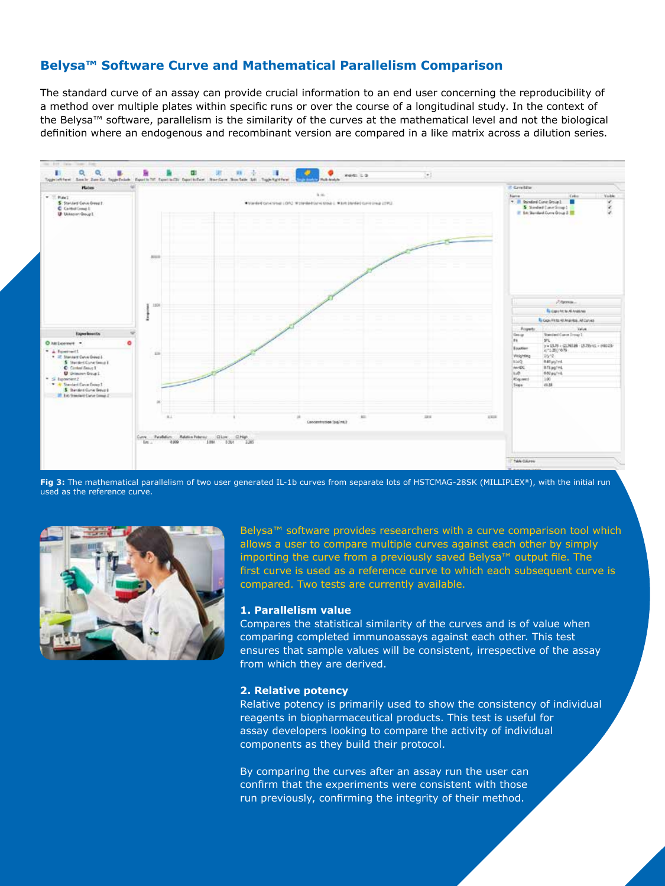#### **Belysa™ Software Curve and Mathematical Parallelism Comparison**

The standard curve of an assay can provide crucial information to an end user concerning the reproducibility of a method over multiple plates within specific runs or over the course of a longitudinal study. In the context of the Belysa™ software, parallelism is the similarity of the curves at the mathematical level and not the biological definition where an endogenous and recombinant version are compared in a like matrix across a dilution series.



**Fig 3:** The mathematical parallelism of two user generated IL-1b curves from separate lots of HSTCMAG-28SK (MILLIPLEX®), with the initial run used as the reference curve.



Belysa™ software provides researchers with a curve comparison tool which allows a user to compare multiple curves against each other by simply importing the curve from a previously saved Belysa™ output file. The first curve is used as a reference curve to which each subsequent curve is compared. Two tests are currently available.

#### **1. Parallelism value**

Compares the statistical similarity of the curves and is of value when comparing completed immunoassays against each other. This test ensures that sample values will be consistent, irrespective of the assay from which they are derived.

#### **2. Relative potency**

Relative potency is primarily used to show the consistency of individual reagents in biopharmaceutical products. This test is useful for assay developers looking to compare the activity of individual components as they build their protocol.

By comparing the curves after an assay run the user can confirm that the experiments were consistent with those run previously, confirming the integrity of their method.